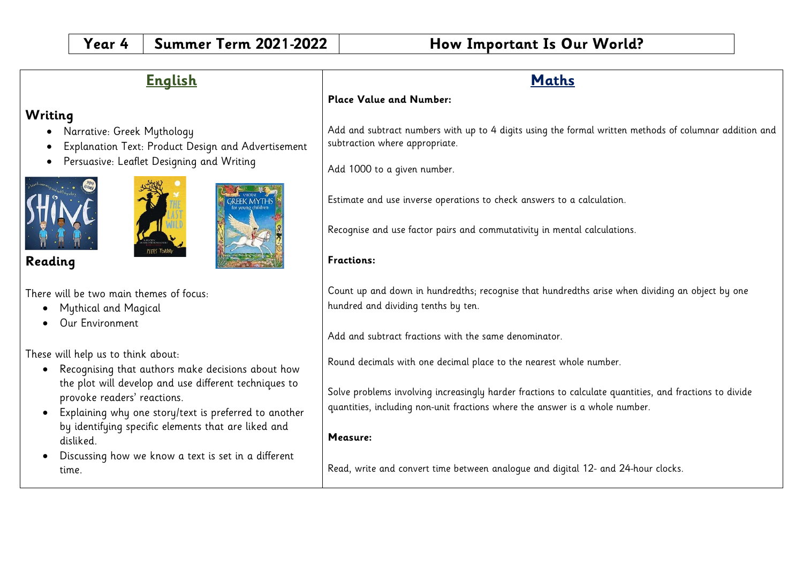| <b>English</b>                                                                                                                                                                                                                                                         | <b>Maths</b>                                                                                                                                                                                                                                                                                                                  |
|------------------------------------------------------------------------------------------------------------------------------------------------------------------------------------------------------------------------------------------------------------------------|-------------------------------------------------------------------------------------------------------------------------------------------------------------------------------------------------------------------------------------------------------------------------------------------------------------------------------|
|                                                                                                                                                                                                                                                                        | <b>Place Value and Number:</b>                                                                                                                                                                                                                                                                                                |
| Writing<br>Narrative: Greek Mythology<br>Explanation Text: Product Design and Advertisement<br>Persuasive: Leaflet Designing and Writing                                                                                                                               | Add and subtract numbers with up to 4 digits using the formal written methods of columnar addition and<br>subtraction where appropriate.<br>Add 1000 to a given number.<br>Estimate and use inverse operations to check answers to a calculation.<br>Recognise and use factor pairs and commutativity in mental calculations. |
| Reading                                                                                                                                                                                                                                                                | Fractions:                                                                                                                                                                                                                                                                                                                    |
| There will be two main themes of focus:<br><b>Mythical and Magical</b><br>Our Environment                                                                                                                                                                              | Count up and down in hundredths; recognise that hundredths arise when dividing an object by one<br>hundred and dividing tenths by ten.<br>Add and subtract fractions with the same denominator.                                                                                                                               |
| These will help us to think about:                                                                                                                                                                                                                                     | Round decimals with one decimal place to the nearest whole number.                                                                                                                                                                                                                                                            |
| Recognising that authors make decisions about how<br>$\bullet$<br>the plot will develop and use different techniques to<br>provoke readers' reactions.<br>Explaining why one story/text is preferred to another<br>by identifying specific elements that are liked and | Solve problems involving increasingly harder fractions to calculate quantities, and fractions to divide<br>quantities, including non-unit fractions where the answer is a whole number.                                                                                                                                       |
| disliked.                                                                                                                                                                                                                                                              | Measure:                                                                                                                                                                                                                                                                                                                      |
| Discussing how we know a text is set in a different<br>time.                                                                                                                                                                                                           | Read, write and convert time between analoque and digital 12- and 24-hour clocks.                                                                                                                                                                                                                                             |
|                                                                                                                                                                                                                                                                        |                                                                                                                                                                                                                                                                                                                               |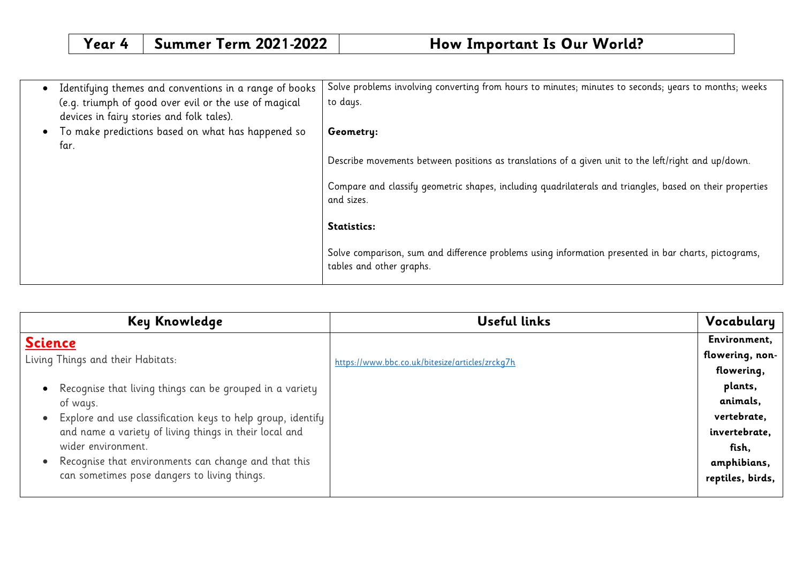| Identifying themes and conventions in a range of books | Solve problems involving converting from hours to minutes; minutes to seconds; years to months; weeks                            |
|--------------------------------------------------------|----------------------------------------------------------------------------------------------------------------------------------|
| (e.g. triumph of good over evil or the use of magical  | to days.                                                                                                                         |
| devices in fairy stories and folk tales).              |                                                                                                                                  |
| To make predictions based on what has happened so      | Geometry:                                                                                                                        |
| far.                                                   |                                                                                                                                  |
|                                                        | Describe movements between positions as translations of a given unit to the left/right and up/down.                              |
|                                                        |                                                                                                                                  |
|                                                        | Compare and classify geometric shapes, including quadrilaterals and triangles, based on their properties<br>and sizes.           |
|                                                        |                                                                                                                                  |
|                                                        | Statistics:                                                                                                                      |
|                                                        | Solve comparison, sum and difference problems using information presented in bar charts, pictograms,<br>tables and other graphs. |

| Key Knowledge                                               | <b>Useful links</b>                             | Vocabulary       |
|-------------------------------------------------------------|-------------------------------------------------|------------------|
| <b>Science</b>                                              |                                                 | Environment,     |
| Living Things and their Habitats:                           | https://www.bbc.co.uk/bitesize/articles/zrckq7h | flowering, non-  |
|                                                             |                                                 | flowering,       |
| • Recognise that living things can be grouped in a variety  |                                                 | plants,          |
| of ways.                                                    |                                                 | animals,         |
| Explore and use classification keys to help group, identify |                                                 | vertebrate,      |
| and name a variety of living things in their local and      |                                                 | invertebrate,    |
| wider environment.                                          |                                                 | fish,            |
| • Recognise that environments can change and that this      |                                                 | amphibians,      |
| can sometimes pose dangers to living things.                |                                                 | reptiles, birds, |
|                                                             |                                                 |                  |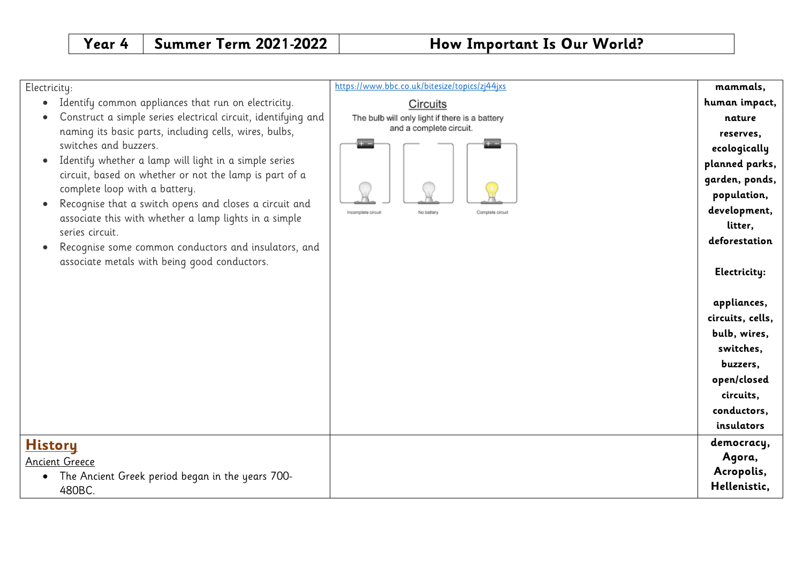| Electricity:                                                             | https://www.bbc.co.uk/bitesize/topics/zj44jxs        | mammals,         |
|--------------------------------------------------------------------------|------------------------------------------------------|------------------|
| Identify common appliances that run on electricity.<br>$\bullet$         | Circuits                                             | human impact,    |
| Construct a simple series electrical circuit, identifying and            | The bulb will only light if there is a battery       | nature           |
| naming its basic parts, including cells, wires, bulbs,                   | and a complete circuit.                              | reserves,        |
| switches and buzzers.                                                    |                                                      | ecologically     |
| Identify whether a lamp will light in a simple series<br>$\bullet$       |                                                      | planned parks,   |
| circuit, based on whether or not the lamp is part of a                   |                                                      | garden, ponds,   |
| complete loop with a battery.                                            |                                                      | population,      |
| Recognise that a switch opens and closes a circuit and<br>$\bullet$      | Complete circuit<br>Incomplete circuit<br>No battery | development,     |
| associate this with whether a lamp lights in a simple<br>series circuit. |                                                      | litter,          |
| Recognise some common conductors and insulators, and<br>$\bullet$        |                                                      | deforestation    |
| associate metals with being good conductors.                             |                                                      | Electricity:     |
|                                                                          |                                                      | appliances,      |
|                                                                          |                                                      | circuits, cells, |
|                                                                          |                                                      | bulb, wires,     |
|                                                                          |                                                      | switches,        |
|                                                                          |                                                      | buzzers,         |
|                                                                          |                                                      | open/closed      |
|                                                                          |                                                      | circuits,        |
|                                                                          |                                                      | conductors,      |
|                                                                          |                                                      | insulators       |
| <u>History</u>                                                           |                                                      | democracy,       |
| <b>Ancient Greece</b>                                                    |                                                      | Agora,           |
| The Ancient Greek period began in the years 700-                         |                                                      | Acropolis,       |
| 480BC.                                                                   |                                                      | Hellenistic,     |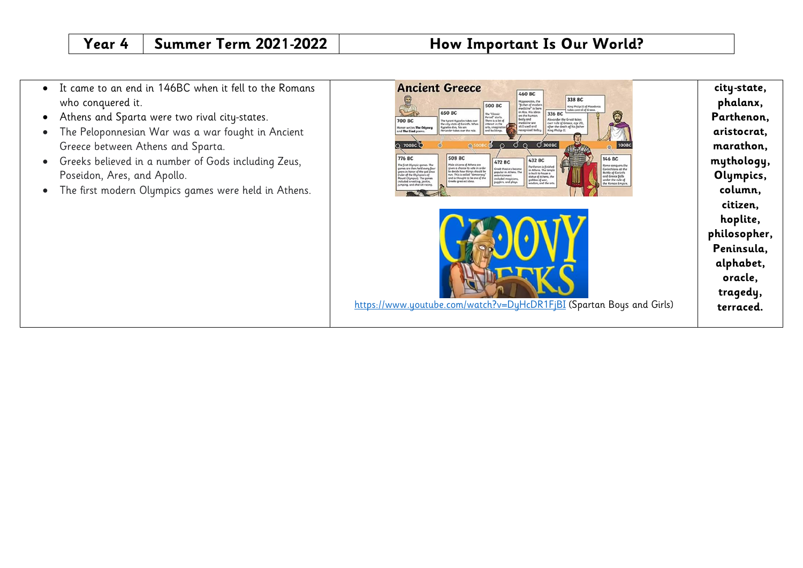- It came to an end in 146BC when it fell to the Romans who conquered it.
- Athens and Sparta were two rival city-states.
- The Peloponnesian War was a war fought in Ancient Greece between Athens and Sparta.
- Greeks believed in a number of Gods including Zeus, Poseidon, Ares, and Apollo.
- The first modern Olympics games were held in Athens.

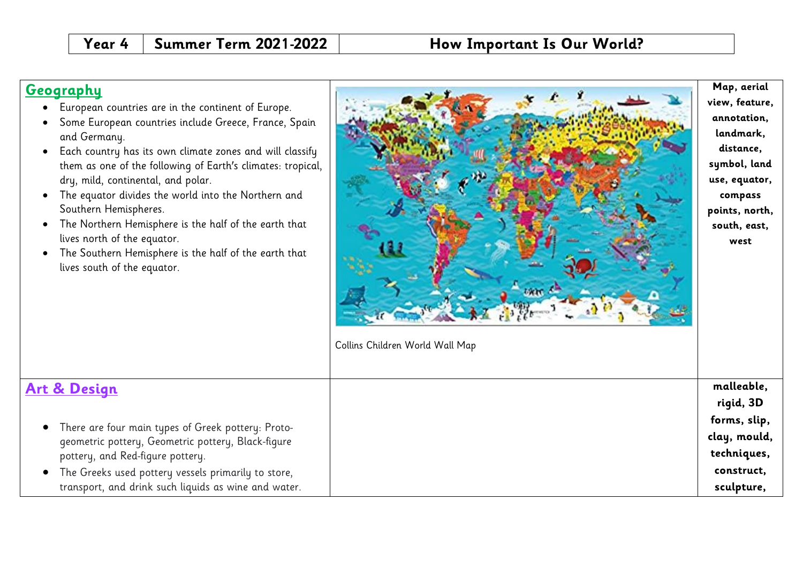## **Geography**

- European countries are in the continent of Europe.
- Some European countries include Greece, France, Spain and Germany.
- Each country has its own climate zones and will classify them as one of the following of Earth's climates: tropical, dry, mild, continental, and polar.
- The equator divides the world into the Northern and Southern Hemispheres.
- The Northern Hemisphere is the half of the earth that lives north of the equator.
- The Southern Hemisphere is the half of the earth that lives south of the equator.



**forms, slip, clay, mould, techniques, construct, sculpture,** 

# **Art & Design**

- There are four main types of Greek pottery: Protogeometric pottery, Geometric pottery, Black-figure pottery, and Red-figure pottery.
- The Greeks used pottery vessels primarily to store, transport, and drink such liquids as wine and water.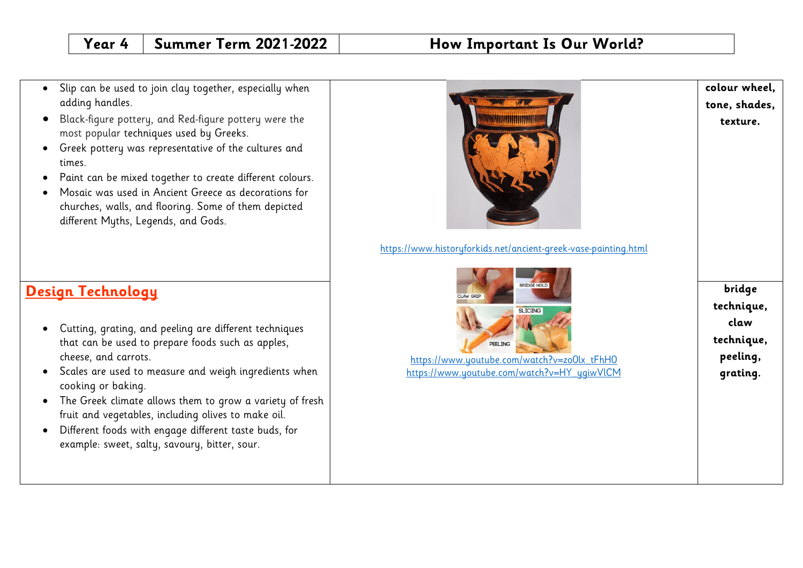- Slip can be used to join clay together, especially when adding handles.
- Black-figure pottery, and Red-figure pottery were the most popular techniques used by Greeks.
- Greek pottery was representative of the cultures and times.
- Paint can be mixed together to create different colours.
- Mosaic was used in Ancient Greece as decorations for churches, walls, and flooring. Some of them depicted different Myths, Legends, and Gods.



# **Design Technology**

- Cutting, grating, and peeling are different techniques that can be used to prepare foods such as apples, cheese, and carrots.
- Scales are used to measure and weigh ingredients when cooking or baking.
- The Greek climate allows them to grow a variety of fresh fruit and vegetables, including olives to make oil.
- Different foods with engage different taste buds, for example: sweet, salty, savoury, bitter, sour.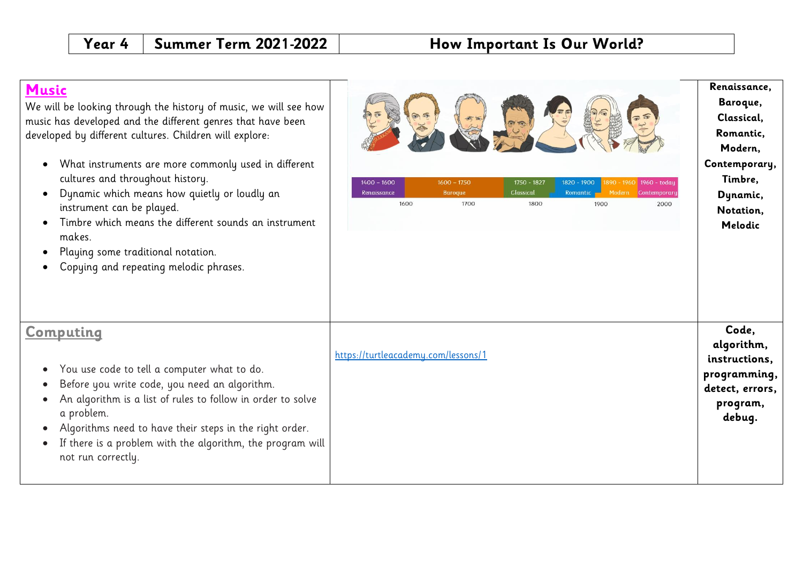### **Music**

We will be looking through the history of music, w music has developed and the different genres that I developed by different cultures. Children will explor

- What instruments are more commonly used cultures and throughout history.
- Dynamic which means how quietly or loudly instrument can be played.
- $\bullet$  Timbre which means the different sounds and makes.
- Playing some traditional notation.
- Copying and repeating melodic phrases.

|  | ombilida |  |
|--|----------|--|
|  |          |  |

- You use code to tell a computer what to do.
- Before you write code, you need an algorith
- An algorithm is a list of rules to follow in or a problem.
- Algorithms need to have their steps in the r
- If there is a problem with the algorithm, the not run correctly.

| e will see how<br>have been<br>e:<br>in different<br>y an<br>า instrument | $\bullet$<br>$1400 - 1600$<br>$1600 - 1750$<br>1750 - 1827<br>1820 - 1900<br>1890 - 1960<br>1960 - today<br>Classical<br>Renaissance<br>Romantic<br><b>Baroque</b><br>Modern<br>Contemporary<br>1600<br>1700<br>1800<br>1900<br>2000 | Renaissance,<br>Baroque,<br>Classical,<br>Romantic,<br>Modern,<br>Contemporary,<br>Timbre,<br>Dynamic,<br>Notation,<br>Melodic |  |
|---------------------------------------------------------------------------|--------------------------------------------------------------------------------------------------------------------------------------------------------------------------------------------------------------------------------------|--------------------------------------------------------------------------------------------------------------------------------|--|
| ım.<br>rder to solve<br>ight order.<br>e program will                     | https://turtleacademy.com/lessons/1                                                                                                                                                                                                  | Code,<br>algorithm,<br>instructions,<br>programming,<br>detect, errors,<br>program,<br>debug.                                  |  |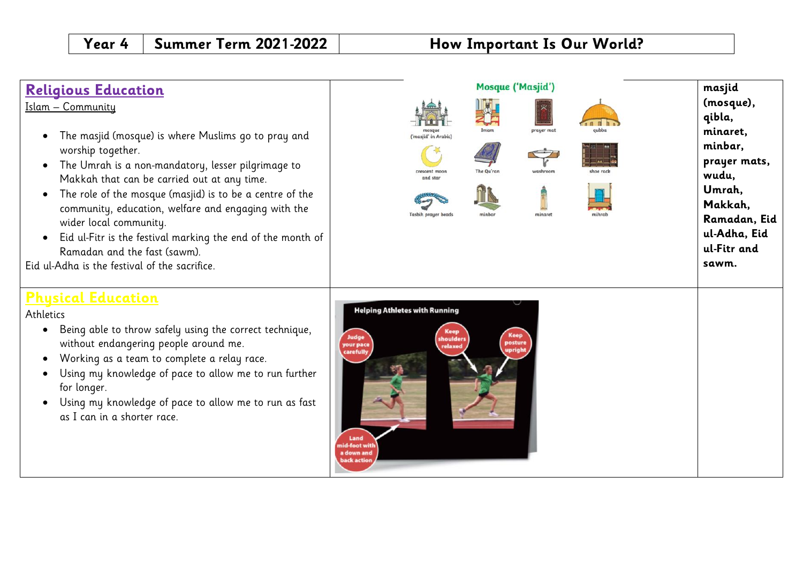| <b>Religious Education</b><br>Islam - Community<br>The masjid (mosque) is where Muslims go to pray and<br>worship together.<br>The Umrah is a non-mandatory, lesser pilgrimage to<br>Makkah that can be carried out at any time.<br>The role of the mosque (masjid) is to be a centre of the<br>community, education, welfare and engaging with the<br>wider local community.<br>Eid ul-Fitr is the festival marking the end of the month of<br>Ramadan and the fast (sawm).<br>Eid ul-Adha is the festival of the sacrifice. | Mosque ('Masjid')<br>prayer mat<br>'masiid' in Arabic<br>The Qu'rar<br>crescent moor<br>washroor<br>and sta<br>Tasbih prayer bead<br>minaret                                                             | masjid<br>(mosque),<br>qibla,<br>minaret,<br>minbar,<br>prayer mats,<br>wudu,<br>Umrah,<br>Makkah,<br>Ramadan, Eid<br>ul-Adha, Eid<br>ul-Fitr and<br>sawm. |
|-------------------------------------------------------------------------------------------------------------------------------------------------------------------------------------------------------------------------------------------------------------------------------------------------------------------------------------------------------------------------------------------------------------------------------------------------------------------------------------------------------------------------------|----------------------------------------------------------------------------------------------------------------------------------------------------------------------------------------------------------|------------------------------------------------------------------------------------------------------------------------------------------------------------|
| <b>Physical Education</b><br>Athletics<br>Being able to throw safely using the correct technique,<br>without endangering people around me.<br>Working as a team to complete a relay race.<br>Using my knowledge of pace to allow me to run further<br>for longer.<br>Using my knowledge of pace to allow me to run as fast<br>as I can in a shorter race.                                                                                                                                                                     | <b>Helping Athletes with Running</b><br><b>Keep</b><br><b>Keep</b><br>Judge<br>shoulders<br>posture<br>your pace<br>relaxed<br>upright<br>carefully<br>Land<br>nid-foot wit<br>a down and<br>back action |                                                                                                                                                            |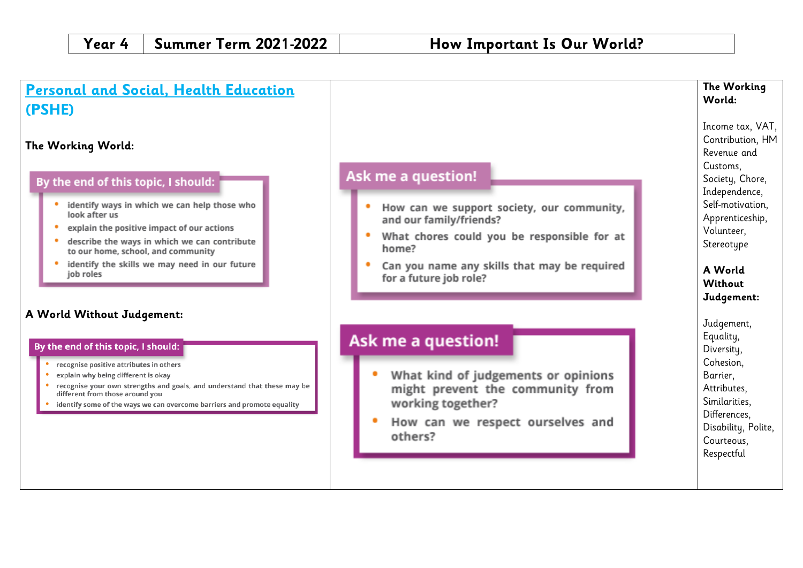